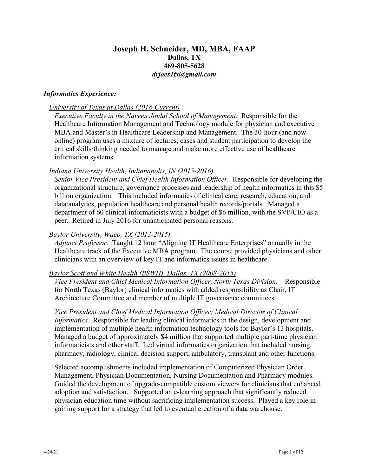# **Joseph H. Schneider, MD, MBA, FAAP Dallas, TX 469-805-5628** *drjoes1tx@gmail.com*

### *Informatics Experience:*

### *University of Texas at Dallas (2018-Current)*

*Executive Faculty in the Naveen Jindal School of Management.* Responsible for the Healthcare Information Management and Technology module for physician and executive MBA and Master's in Healthcare Leadership and Management. The 30-hour (and now online) program uses a mixture of lectures, cases and student participation to develop the critical skills/thinking needed to manage and make more effective use of healthcare information systems.

### *Indiana University Health, Indianapolis, IN (2015-2016)*

*Senior Vice President and Chief Health Information Officer.* Responsible for developing the organizational structure, governance processes and leadership of health informatics in this \$5 billion organization. This included informatics of clinical care, research, education, and data/analytics, population healthcare and personal health records/portals. Managed a department of 60 clinical informaticists with a budget of \$6 million, with the SVP/CIO as a peer. Retired in July 2016 for unanticipated personal reasons.

### *Baylor University, Waco, TX (2013-2015)*

*Adjunct Professor.* Taught 12 hour "Aligning IT Healthcare Enterprises" annually in the Healthcare track of the Executive MBA program. The course provided physicians and other clinicians with an overview of key IT and informatics issues in healthcare.

#### *Baylor Scott and White Health (BSWH), Dallas, TX (2008-2015)*

*Vice President and Chief Medical Information Officer, North Texas Division.* Responsible for North Texas (Baylor) clinical informatics with added responsibility as Chair, IT Architecture Committee and member of multiple IT governance committees.

*Vice President and Chief Medical Information Officer; Medical Director of Clinical Informatics.* Responsible for leading clinical informatics in the design, development and implementation of multiple health information technology tools for Baylor's 13 hospitals. Managed a budget of approximately \$4 million that supported multiple part-time physician informaticists and other staff. Led virtual informatics organization that included nursing, pharmacy, radiology, clinical decision support, ambulatory, transplant and other functions.

Selected accomplishments included implementation of Computerized Physician Order Management, Physician Documentation, Nursing Documentation and Pharmacy modules. Guided the development of upgrade-compatible custom viewers for clinicians that enhanced adoption and satisfaction. Supported an e-learning approach that significantly reduced physician education time without sacrificing implementation success. Played a key role in gaining support for a strategy that led to eventual creation of a data warehouse.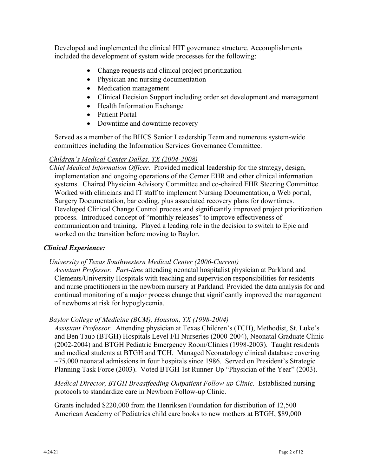Developed and implemented the clinical HIT governance structure. Accomplishments included the development of system wide processes for the following:

- Change requests and clinical project prioritization
- Physician and nursing documentation
- Medication management
- Clinical Decision Support including order set development and management
- Health Information Exchange
- Patient Portal
- Downtime and downtime recovery

Served as a member of the BHCS Senior Leadership Team and numerous system-wide committees including the Information Services Governance Committee.

## *Children's Medical Center Dallas, TX (2004-2008)*

*Chief Medical Information Officer.* Provided medical leadership for the strategy, design, implementation and ongoing operations of the Cerner EHR and other clinical information systems. Chaired Physician Advisory Committee and co-chaired EHR Steering Committee. Worked with clinicians and IT staff to implement Nursing Documentation, a Web portal, Surgery Documentation, bar coding, plus associated recovery plans for downtimes. Developed Clinical Change Control process and significantly improved project prioritization process. Introduced concept of "monthly releases" to improve effectiveness of communication and training. Played a leading role in the decision to switch to Epic and worked on the transition before moving to Baylor.

## *Clinical Experience:*

## *University of Texas Southwestern Medical Center (2006-Current)*

*Assistant Professor. Part-time* attending neonatal hospitalist physician at Parkland and Clements/University Hospitals with teaching and supervision responsibilities for residents and nurse practitioners in the newborn nursery at Parkland. Provided the data analysis for and continual monitoring of a major process change that significantly improved the management of newborns at risk for hypoglycemia.

## *Baylor College of Medicine (BCM), Houston, TX (1998-2004)*

*Assistant Professor.* Attending physician at Texas Children's (TCH), Methodist, St. Luke's and Ben Taub (BTGH) Hospitals Level I/II Nurseries (2000-2004), Neonatal Graduate Clinic (2002-2004) and BTGH Pediatric Emergency Room/Clinics (1998-2003). Taught residents and medical students at BTGH and TCH. Managed Neonatology clinical database covering  $\sim$ 75,000 neonatal admissions in four hospitals since 1986. Served on President's Strategic Planning Task Force (2003). Voted BTGH 1st Runner-Up "Physician of the Year" (2003).

*Medical Director, BTGH Breastfeeding Outpatient Follow-up Clinic.* Established nursing protocols to standardize care in Newborn Follow-up Clinic.

Grants included \$220,000 from the Henriksen Foundation for distribution of 12,500 American Academy of Pediatrics child care books to new mothers at BTGH, \$89,000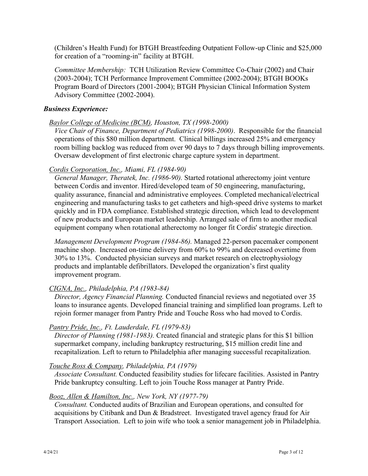(Children's Health Fund) for BTGH Breastfeeding Outpatient Follow-up Clinic and \$25,000 for creation of a "rooming-in" facility at BTGH.

*Committee Membership:* TCH Utilization Review Committee Co-Chair (2002) and Chair (2003-2004); TCH Performance Improvement Committee (2002-2004); BTGH BOOKs Program Board of Directors (2001-2004); BTGH Physician Clinical Information System Advisory Committee (2002-2004).

### *Business Experience:*

### *Baylor College of Medicine (BCM), Houston, TX (1998-2000)*

*Vice Chair of Finance, Department of Pediatrics (1998-2000)*. Responsible for the financial operations of this \$80 million department. Clinical billings increased 25% and emergency room billing backlog was reduced from over 90 days to 7 days through billing improvements. Oversaw development of first electronic charge capture system in department.

### *Cordis Corporation, Inc., Miami, FL (1984-90)*

*General Manager, Theratek, Inc. (1986-90).* Started rotational atherectomy joint venture between Cordis and inventor. Hired/developed team of 50 engineering, manufacturing, quality assurance, financial and administrative employees. Completed mechanical/electrical engineering and manufacturing tasks to get catheters and high-speed drive systems to market quickly and in FDA compliance. Established strategic direction, which lead to development of new products and European market leadership. Arranged sale of firm to another medical equipment company when rotational atherectomy no longer fit Cordis' strategic direction.

*Management Development Program (1984-86).* Managed 22-person pacemaker component machine shop. Increased on-time delivery from 60% to 99% and decreased overtime from 30% to 13%. Conducted physician surveys and market research on electrophysiology products and implantable defibrillators. Developed the organization's first quality improvement program.

#### *CIGNA, Inc., Philadelphia, PA (1983-84)*

*Director, Agency Financial Planning.* Conducted financial reviews and negotiated over 35 loans to insurance agents. Developed financial training and simplified loan programs. Left to rejoin former manager from Pantry Pride and Touche Ross who had moved to Cordis.

## *Pantry Pride, Inc., Ft. Lauderdale, FL (1979-83)*

*Director of Planning (1981-1983).* Created financial and strategic plans for this \$1 billion supermarket company, including bankruptcy restructuring, \$15 million credit line and recapitalization. Left to return to Philadelphia after managing successful recapitalization.

#### *Touche Ross & Company, Philadelphia, PA (1979)*

*Associate Consultant.* Conducted feasibility studies for lifecare facilities. Assisted in Pantry Pride bankruptcy consulting. Left to join Touche Ross manager at Pantry Pride.

#### *Booz, Allen & Hamilton, Inc., New York, NY (1977-79)*

*Consultant.* Conducted audits of Brazilian and European operations, and consulted for acquisitions by Citibank and Dun & Bradstreet. Investigated travel agency fraud for Air Transport Association. Left to join wife who took a senior management job in Philadelphia.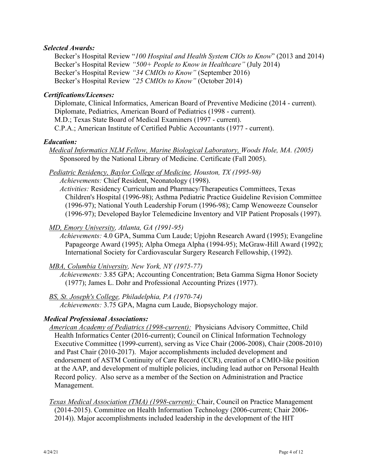### *Selected Awards:*

Becker's Hospital Review "*100 Hospital and Health System CIOs to Know*" (2013 and 2014) Becker's Hospital Review *"500+ People to Know in Healthcare"* (July 2014) Becker's Hospital Review *"34 CMIOs to Know"* (September 2016) Becker's Hospital Review *"25 CMIOs to Know"* (October 2014)

### *Certifications/Licenses:*

Diplomate, Clinical Informatics, American Board of Preventive Medicine (2014 - current). Diplomate, Pediatrics, American Board of Pediatrics (1998 - current). M.D.; Texas State Board of Medical Examiners (1997 - current). C.P.A.; American Institute of Certified Public Accountants (1977 - current).

### *Education:*

*Medical Informatics NLM Fellow, Marine Biological Laboratory, Woods Hole, MA. (2005)* Sponsored by the National Library of Medicine. Certificate (Fall 2005).

### *Pediatric Residency, Baylor College of Medicine, Houston, TX (1995-98)*

*Achievements:* Chief Resident, Neonatology (1998).

*Activities:* Residency Curriculum and Pharmacy/Therapeutics Committees, Texas Children's Hospital (1996-98); Asthma Pediatric Practice Guideline Revision Committee (1996-97); National Youth Leadership Forum (1996-98); Camp Wenoweeze Counselor (1996-97); Developed Baylor Telemedicine Inventory and VIP Patient Proposals (1997).

### *MD, Emory University, Atlanta, GA (1991-95)*

*Achievements:* 4.0 GPA, Summa Cum Laude; Upjohn Research Award (1995); Evangeline Papageorge Award (1995); Alpha Omega Alpha (1994-95); McGraw-Hill Award (1992); International Society for Cardiovascular Surgery Research Fellowship, (1992).

#### *MBA, Columbia University, New York, NY (1975-77)*

*Achievements:* 3.85 GPA; Accounting Concentration; Beta Gamma Sigma Honor Society (1977); James L. Dohr and Professional Accounting Prizes (1977).

*BS, St. Joseph's College, Philadelphia, PA (1970-74) Achievements:* 3.75 GPA, Magna cum Laude, Biopsychology major.

## *Medical Professional Associations:*

- *American Academy of Pediatrics (1998-current):* Physicians Advisory Committee, Child Health Informatics Center (2016-current); Council on Clinical Information Technology Executive Committee (1999-current), serving as Vice Chair (2006-2008), Chair (2008-2010) and Past Chair (2010-2017). Major accomplishments included development and endorsement of ASTM Continuity of Care Record (CCR), creation of a CMIO-like position at the AAP, and development of multiple policies, including lead author on Personal Health Record policy. Also serve as a member of the Section on Administration and Practice Management.
- *Texas Medical Association (TMA) (1998-current):* Chair, Council on Practice Management (2014-2015). Committee on Health Information Technology (2006-current; Chair 2006- 2014)). Major accomplishments included leadership in the development of the HIT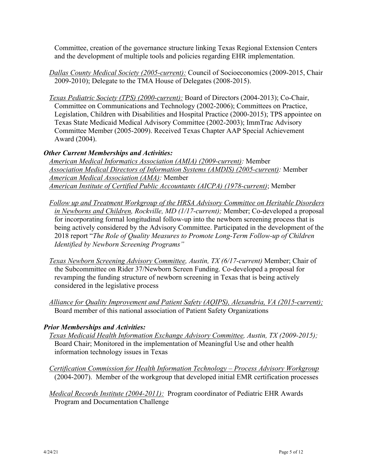Committee, creation of the governance structure linking Texas Regional Extension Centers and the development of multiple tools and policies regarding EHR implementation.

*Dallas County Medical Society (2005-current):* Council of Socioeconomics (2009-2015, Chair 2009-2010); Delegate to the TMA House of Delegates (2008-2015).

*Texas Pediatric Society (TPS) (2000-current):* Board of Directors (2004-2013); Co-Chair, Committee on Communications and Technology (2002-2006); Committees on Practice, Legislation, Children with Disabilities and Hospital Practice (2000-2015); TPS appointee on Texas State Medicaid Medical Advisory Committee (2002-2003); ImmTrac Advisory Committee Member (2005-2009). Received Texas Chapter AAP Special Achievement Award (2004).

## *Other Current Memberships and Activities:*

*American Medical Informatics Association (AMIA) (2009-current):* Member *Association Medical Directors of Information Systems (AMDIS) (2005-current):* Member *American Medical Association (AMA):* Member *American Institute of Certified Public Accountants (AICPA) (1978-current)*; Member

- *Follow up and Treatment Workgroup of the HRSA Advisory Committee on Heritable Disorders in Newborns and Children, Rockville, MD (1/17-current);* Member; Co-developed a proposal for incorporating formal longitudinal follow-up into the newborn screening process that is being actively considered by the Advisory Committee. Participated in the development of the 2018 report "*The Role of Quality Measures to Promote Long-Term Follow-up of Children Identified by Newborn Screening Programs"*
- *Texas Newborn Screening Advisory Committee, Austin, TX (6/17-current)* Member; Chair of the Subcommittee on Rider 37/Newborn Screen Funding. Co-developed a proposal for revamping the funding structure of newborn screening in Texas that is being actively considered in the legislative process
- *Alliance for Quality Improvement and Patient Safety (AQIPS), Alexandria, VA (2015-current);*  Board member of this national association of Patient Safety Organizations

# *Prior Memberships and Activities:*

- *Texas Medicaid Health Information Exchange Advisory Committee, Austin, TX (2009-2015);*  Board Chair; Monitored in the implementation of Meaningful Use and other health information technology issues in Texas
- *Certification Commission for Health Information Technology – Process Advisory Workgroup* (2004-2007). Member of the workgroup that developed initial EMR certification processes
- *Medical Records Institute (2004-2011):* Program coordinator of Pediatric EHR Awards Program and Documentation Challenge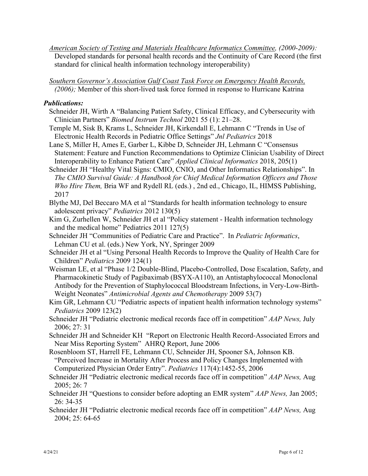*American Society of Testing and Materials Healthcare Informatics Committee, (2000-2009):* Developed standards for personal health records and the Continuity of Care Record (the first standard for clinical health information technology interoperability)

*Southern Governor's Association Gulf Coast Task Force on Emergency Health Records, (2006);* Member of this short-lived task force formed in response to Hurricane Katrina

### *Publications:*

- Schneider JH, Wirth A "Balancing Patient Safety, Clinical Efficacy, and Cybersecurity with Clinician Partners" *Biomed Instrum Technol* 2021 55 (1): 21–28.
- Temple M, Sisk B, Krams L, Schneider JH, Kirkendall E, Lehmann C "Trends in Use of Electronic Health Records in Pediatric Office Settings" *Jnl Pediatrics* 2018
- Lane S, Miller H, Ames E, Garber L, Kibbe D, Schneider JH, Lehmann C "Consensus Statement: Feature and Function Recommendations to Optimize Clinician Usability of Direct Interoperability to Enhance Patient Care" *Applied Clinical Informatics* 2018, 205(1)
- Schneider JH "Healthy Vital Signs: CMIO, CNIO, and Other Informatics Relationships". In *The CMIO Survival Guide: A Handbook for Chief Medical Information Officers and Those Who Hire Them,* Bria WF and Rydell RL (eds.) , 2nd ed., Chicago, IL, HIMSS Publishing, 2017
- Blythe MJ, Del Beccaro MA et al "Standards for health information technology to ensure adolescent privacy" *Pediatrics* 2012 130(5)
- Kim G, Zurhellen W, Schneider JH et al "Policy statement Health information technology and the medical home" Pediatrics 2011 127(5)
- Schneider JH "Communities of Pediatric Care and Practice". In *Pediatric Informatics*, Lehman CU et al. (eds.) New York, NY, Springer 2009
- Schneider JH et al "Using Personal Health Records to Improve the Quality of Health Care for Children" *Pediatrics* 2009 124(1)
- Weisman LE, et al "Phase 1/2 Double-Blind, Placebo-Controlled, Dose Escalation, Safety, and Pharmacokinetic Study of Pagibaximab (BSYX-A110), an Antistaphylococcal Monoclonal Antibody for the Prevention of Staphylococcal Bloodstream Infections, in Very-Low-Birth-Weight Neonates" *Antimicrobial Agents and Chemotherapy* 2009 53(7)
- Kim GR, Lehmann CU "Pediatric aspects of inpatient health information technology systems" *Pediatrics* 2009 123(2)
- Schneider JH "Pediatric electronic medical records face off in competition" *AAP News,* July 2006; 27: 31
- Schneider JH and Schneider KH "Report on Electronic Health Record-Associated Errors and Near Miss Reporting System" AHRQ Report, June 2006
- Rosenbloom ST, Harrell FE, Lehmann CU, Schneider JH, Spooner SA, Johnson KB. "Perceived Increase in Mortality After Process and Policy Changes Implemented with Computerized Physician Order Entry". *Pediatrics* 117(4):1452-55, 2006
- Schneider JH "Pediatric electronic medical records face off in competition" *AAP News,* Aug 2005; 26: 7
- Schneider JH "Questions to consider before adopting an EMR system" *AAP News,* Jan 2005; 26: 34-35
- Schneider JH "Pediatric electronic medical records face off in competition" *AAP News,* Aug 2004; 25: 64-65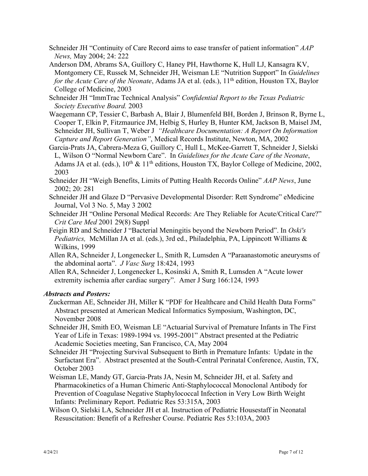- Schneider JH "Continuity of Care Record aims to ease transfer of patient information" *AAP News,* May 2004; 24: 222
- Anderson DM, Abrams SA, Guillory C, Haney PH, Hawthorne K, Hull LJ, Kansagra KV, Montgomery CE, Russek M, Schneider JH, Weisman LE "Nutrition Support" In *Guidelines for the Acute Care of the Neonate*, Adams JA et al. (eds.), 11<sup>th</sup> edition, Houston TX, Baylor College of Medicine, 2003
- Schneider JH "ImmTrac Technical Analysis" *Confidential Report to the Texas Pediatric Society Executive Board.* 2003
- Waegemann CP, Tessier C, Barbash A, Blair J, Blumenfeld BH, Borden J, Brinson R, Byrne L, Cooper T, Elkin P, Fitzmaurice JM, Helbig S, Hurley B, Hunter KM, Jackson B, Maisel JM, Schneider JH, Sullivan T, Weber J *"Healthcare Documentation: A Report On Information Capture and Report Generation"*, Medical Records Institute, Newton, MA, 2002
- Garcia-Prats JA, Cabrera-Meza G, Guillory C, Hull L, McKee-Garrett T, Schneider J, Sielski L, Wilson O "Normal Newborn Care". In *Guidelines for the Acute Care of the Neonate*, Adams JA et al. (eds.),  $10^{th} \& 11^{th}$  editions, Houston TX, Baylor College of Medicine, 2002, 2003
- Schneider JH "Weigh Benefits, Limits of Putting Health Records Online" *AAP News*, June 2002; 20: 281
- Schneider JH and Glaze D "Pervasive Developmental Disorder: Rett Syndrome" eMedicine Journal, Vol 3 No. 5, May 3 2002
- Schneider JH "Online Personal Medical Records: Are They Reliable for Acute/Critical Care?" *Crit Care Med* 2001 29(8) Suppl
- Feigin RD and Schneider J "Bacterial Meningitis beyond the Newborn Period". In *Oski's Pediatrics,* McMillan JA et al. (eds.), 3rd ed., Philadelphia, PA, Lippincott Williams & Wilkins, 1999
- Allen RA, Schneider J, Longenecker L, Smith R, Lumsden A "Paraanastomotic aneurysms of the abdominal aorta". *J Vasc Surg* 18:424, 1993
- Allen RA, Schneider J, Longenecker L, Kosinski A, Smith R, Lumsden A "Acute lower extremity ischemia after cardiac surgery". Amer J Surg 166:124, 1993

## *Abstracts and Posters:*

- Zuckerman AE, Schneider JH, Miller K "PDF for Healthcare and Child Health Data Forms" Abstract presented at American Medical Informatics Symposium, Washington, DC, November 2008
- Schneider JH, Smith EO, Weisman LE "Actuarial Survival of Premature Infants in The First Year of Life in Texas: 1989-1994 vs. 1995-2001" Abstract presented at the Pediatric Academic Societies meeting, San Francisco, CA, May 2004
- Schneider JH "Projecting Survival Subsequent to Birth in Premature Infants: Update in the Surfactant Era". Abstract presented at the South-Central Perinatal Conference, Austin, TX, October 2003
- Weisman LE, Mandy GT, Garcia-Prats JA, Nesin M, Schneider JH, et al. Safety and Pharmacokinetics of a Human Chimeric Anti-Staphylococcal Monoclonal Antibody for Prevention of Coagulase Negative Staphylococcal Infection in Very Low Birth Weight Infants: Preliminary Report. Pediatric Res 53:315A, 2003
- Wilson O, Sielski LA, Schneider JH et al. Instruction of Pediatric Housestaff in Neonatal Resuscitation: Benefit of a Refresher Course. Pediatric Res 53:103A, 2003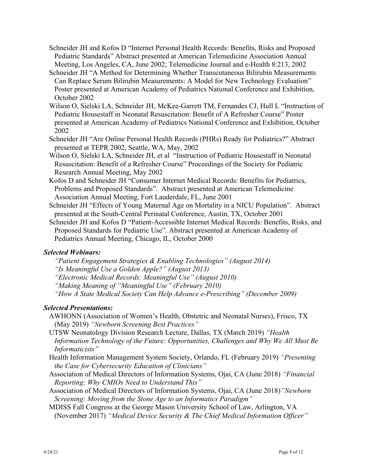- Schneider JH and Kofos D "Internet Personal Health Records: Benefits, Risks and Proposed Pediatric Standards" Abstract presented at American Telemedicine Association Annual Meeting, Los Angeles, CA, June 2002; Telemedicine Journal and e-Health 8:213, 2002
- Schneider JH "A Method for Determining Whether Transcutaneous Bilirubin Measurements Can Replace Serum Bilirubin Measurements: A Model for New Technology Evaluation" Poster presented at American Academy of Pediatrics National Conference and Exhibition, October 2002
- Wilson O, Sielski LA, Schneider JH, McKee-Garrett TM, Fernandes CJ, Hull L "Instruction of Pediatric Housestaff in Neonatal Resuscitation: Benefit of A Refresher Course" Poster presented at American Academy of Pediatrics National Conference and Exhibition, October 2002
- Schneider JH "Are Online Personal Health Records (PHRs) Ready for Pediatrics?" Abstract presented at TEPR 2002, Seattle, WA, May, 2002
- Wilson O, Sielski LA, Schneider JH, et al "Instruction of Pediatric Housestaff in Neonatal Resuscitation: Benefit of a Refresher Course" Proceedings of the Society for Pediatric Research Annual Meeting, May 2002
- Kofos D and Schneider JH "Consumer Internet Medical Records: Benefits for Pediatrics, Problems and Proposed Standards". Abstract presented at American Telemedicine Association Annual Meeting, Fort Lauderdale, FL, June 2001
- Schneider JH "Effects of Young Maternal Age on Mortality in a NICU Population". Abstract presented at the South-Central Perinatal Conference, Austin, TX, October 2001
- Schneider JH and Kofos D "Patient-Accessible Internet Medical Records: Benefits, Risks, and Proposed Standards for Pediatric Use". Abstract presented at American Academy of Pediatrics Annual Meeting, Chicago, IL, October 2000

## *Selected Webinars:*

- *"Patient Engagement Strategies & Enabling Technologies" (August 2014)*
- *"Is Meaningful Use a Golden Apple?" (August 2013)*
- *"Electronic Medical Records: Meaningful Use" (August 2010)*
- *"Making Meaning of "Meaningful Use" (February 2010)*
- *"How A State Medical Society Can Help Advance e-Prescribing" (December 2009)*

## *Selected Presentations:*

- AWHONN (Association of Women's Health, Obstetric and Neonatal Nurses), Frisco, TX (May 2019) *"Newborn Screening Best Practices"*
- UTSW Neonatology Division Research Lecture, Dallas, TX (March 2019) *"Health Information Technology of the Future: Opportunities, Challenges and Why We All Must Be Informaticists"*
- Health Information Management System Society, Orlando, FL (February 2019) *"Presenting the Case for Cybersecurity Education of Clinicians"*
- Association of Medical Directors of Information Systems, Ojai, CA (June 2018) *"Financial Reporting: Why CMIOs Need to Understand This"*
- Association of Medical Directors of Information Systems, Ojai, CA (June 2018)*"Newborn Screening: Moving from the Stone Age to an Informatics Paradigm"*
- MDISS Fall Congress at the George Mason University School of Law, Arlington, VA (November 2017) *"Medical Device Security & The Chief Medical Information Officer"*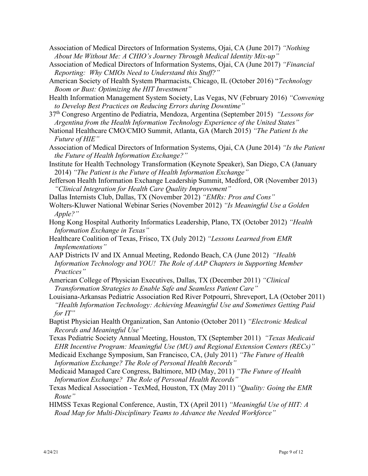- Association of Medical Directors of Information Systems, Ojai, CA (June 2017) *"Nothing About Me Without Me: A CHIO's Journey Through Medical Identity Mix-up"*
- Association of Medical Directors of Information Systems, Ojai, CA (June 2017) *"Financial Reporting: Why CMIOs Need to Understand this Stuff?"*
- American Society of Health System Pharmacists, Chicago, IL (October 2016) "*Technology Boom or Bust: Optimizing the HIT Investment"*
- Health Information Management System Society, Las Vegas, NV (February 2016) *"Convening to Develop Best Practices on Reducing Errors during Downtime"*
- 37th Congreso Argentino de Pediatria, Mendoza, Argentina (September 2015) *"Lessons for Argentina from the Health Information Technology Experience of the United States"*
- National Healthcare CMO/CMIO Summit, Atlanta, GA (March 2015) *"The Patient Is the Future of HIE"*
- Association of Medical Directors of Information Systems, Ojai, CA (June 2014) *"Is the Patient the Future of Health Information Exchange?"*
- Institute for Health Technology Transformation (Keynote Speaker), San Diego, CA (January 2014) *"The Patient is the Future of Health Information Exchange"*
- Jefferson Health Information Exchange Leadership Summit, Medford, OR (November 2013) *"Clinical Integration for Health Care Quality Improvement"*
- Dallas Internists Club, Dallas, TX (November 2012) *"EMRs: Pros and Cons"*
- Wolters-Kluwer National Webinar Series (November 2012) *"Is Meaningful Use a Golden Apple?"*
- Hong Kong Hospital Authority Informatics Leadership, Plano, TX (October 2012) *"Health Information Exchange in Texas"*
- Healthcare Coalition of Texas, Frisco, TX (July 2012) *"Lessons Learned from EMR Implementations"*
- AAP Districts IV and IX Annual Meeting, Redondo Beach, CA (June 2012) *"Health Information Technology and YOU! The Role of AAP Chapters in Supporting Member Practices"*
- American College of Physician Executives, Dallas, TX (December 2011) *"Clinical Transformation Strategies to Enable Safe and Seamless Patient Care"*
- Louisiana-Arkansas Pediatric Association Red River Potpourri, Shreveport, LA (October 2011) *"Health Information Technology: Achieving Meaningful Use and Sometimes Getting Paid for IT"*
- Baptist Physician Health Organization, San Antonio (October 2011) *"Electronic Medical Records and Meaningful Use"*
- Texas Pediatric Society Annual Meeting, Houston, TX (September 2011) *"Texas Medicaid EHR Incentive Program: Meaningful Use (MU) and Regional Extension Centers (RECs)"*
- Medicaid Exchange Symposium, San Francisco, CA, (July 2011) *"The Future of Health Information Exchange? The Role of Personal Health Records"*
- Medicaid Managed Care Congress, Baltimore, MD (May, 2011) *"The Future of Health Information Exchange? The Role of Personal Health Records"*
- Texas Medical Association TexMed, Houston, TX (May 2011) *"Quality: Going the EMR Route"*
- HIMSS Texas Regional Conference, Austin, TX (April 2011) *"Meaningful Use of HIT: A Road Map for Multi-Disciplinary Teams to Advance the Needed Workforce"*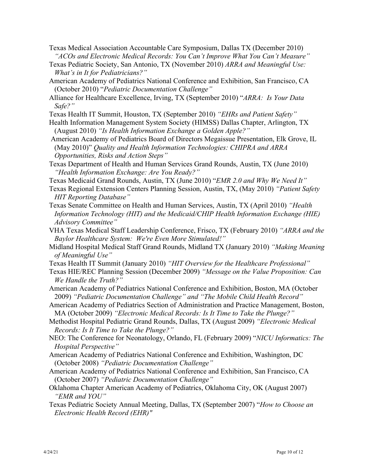- Texas Medical Association Accountable Care Symposium, Dallas TX (December 2010) *"ACOs and Electronic Medical Records: You Can't Improve What You Can't Measure"*
- Texas Pediatric Society, San Antonio, TX (November 2010) *ARRA and Meaningful Use: What's in It for Pediatricians?"*
- American Academy of Pediatrics National Conference and Exhibition, San Francisco, CA (October 2010) "*Pediatric Documentation Challenge"*
- Alliance for Healthcare Excellence, Irving, TX (September 2010) "*ARRA: Is Your Data Safe?"*
- Texas Health IT Summit, Houston, TX (September 2010) *"EHRs and Patient Safety"*
- Health Information Management System Society (HIMSS) Dallas Chapter, Arlington, TX (August 2010) *"Is Health Information Exchange a Golden Apple?"*
- American Academy of Pediatrics Board of Directors Megaissue Presentation, Elk Grove, IL (May 2010)" *Quality and Health Information Technologies: CHIPRA and ARRA Opportunities, Risks and Action Steps"*
- Texas Department of Health and Human Services Grand Rounds, Austin, TX (June 2010) *"Health Information Exchange: Are You Ready?"*
- Texas Medicaid Grand Rounds, Austin, TX (June 2010) "*EMR 2.0 and Why We Need It"*
- Texas Regional Extension Centers Planning Session, Austin, TX, (May 2010) *"Patient Safety HIT Reporting Database"*
- Texas Senate Committee on Health and Human Services, Austin, TX (April 2010) *"Health Information Technology (HIT) and the Medicaid/CHIP Health Information Exchange (HIE) Advisory Committee"*
- VHA Texas Medical Staff Leadership Conference, Frisco, TX (February 2010) *"ARRA and the Baylor Healthcare System: We're Even More Stimulated!"*
- Midland Hospital Medical Staff Grand Rounds, Midland TX (January 2010) *"Making Meaning of Meaningful Use"*
- Texas Health IT Summit (January 2010) *"HIT Overview for the Healthcare Professional"*
- Texas HIE/REC Planning Session (December 2009) *"Message on the Value Proposition: Can We Handle the Truth?"*
- American Academy of Pediatrics National Conference and Exhibition, Boston, MA (October 2009) *"Pediatric Documentation Challenge" and "The Mobile Child Health Record"*
- American Academy of Pediatrics Section of Administration and Practice Management, Boston, MA (October 2009) *"Electronic Medical Records: Is It Time to Take the Plunge?"*
- Methodist Hospital Pediatric Grand Rounds, Dallas, TX (August 2009) *"Electronic Medical Records: Is It Time to Take the Plunge?"*
- NEO: The Conference for Neonatology, Orlando, FL (February 2009) "*NICU Informatics: The Hospital Perspective"*
- American Academy of Pediatrics National Conference and Exhibition, Washington, DC (October 2008) *"Pediatric Documentation Challenge"*
- American Academy of Pediatrics National Conference and Exhibition, San Francisco, CA (October 2007) *"Pediatric Documentation Challenge"*
- Oklahoma Chapter American Academy of Pediatrics, Oklahoma City, OK (August 2007) *"EMR and YOU"*
- Texas Pediatric Society Annual Meeting, Dallas, TX (September 2007) "*How to Choose an Electronic Health Record (EHR)"*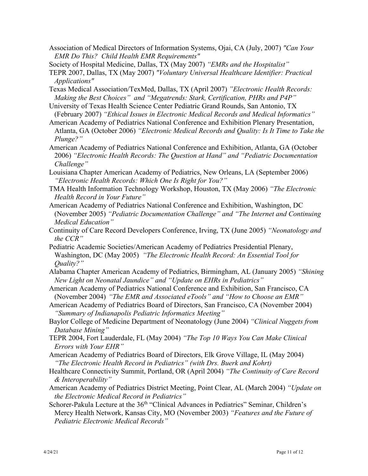- Association of Medical Directors of Information Systems, Ojai, CA (July, 2007) *"Can Your EMR Do This? Child Health EMR Requirements"*
- Society of Hospital Medicine, Dallas, TX (May 2007) *"EMRs and the Hospitalist"*
- TEPR 2007, Dallas, TX (May 2007) *"Voluntary Universal Healthcare Identifier: Practical Applications"*
- Texas Medical Association/TexMed, Dallas, TX (April 2007) *"Electronic Health Records: Making the Best Choices" and "Megatrends: Stark, Certification, PHRs and P4P"*
- University of Texas Health Science Center Pediatric Grand Rounds, San Antonio, TX (February 2007) *"Ethical Issues in Electronic Medical Records and Medical Informatics"*
- American Academy of Pediatrics National Conference and Exhibition Plenary Presentation, Atlanta, GA (October 2006) *"Electronic Medical Records and Quality: Is It Time to Take the Plunge?"*
- American Academy of Pediatrics National Conference and Exhibition, Atlanta, GA (October 2006) *"Electronic Health Records: The Question at Hand" and "Pediatric Documentation Challenge"*
- Louisiana Chapter American Academy of Pediatrics, New Orleans, LA (September 2006) *"Electronic Health Records: Which One Is Right for You?"*
- TMA Health Information Technology Workshop, Houston, TX (May 2006) *"The Electronic Health Record in Your Future"*
- American Academy of Pediatrics National Conference and Exhibition, Washington, DC (November 2005) *"Pediatric Documentation Challenge" and "The Internet and Continuing Medical Education"*
- Continuity of Care Record Developers Conference, Irving, TX (June 2005) *"Neonatology and the CCR"*
- Pediatric Academic Societies/American Academy of Pediatrics Presidential Plenary, Washington, DC (May 2005) *"The Electronic Health Record: An Essential Tool for Quality?"*
- Alabama Chapter American Academy of Pediatrics, Birmingham, AL (January 2005) *"Shining New Light on Neonatal Jaundice" and "Update on EHRs in Pediatrics"*
- American Academy of Pediatrics National Conference and Exhibition, San Francisco, CA (November 2004) *"The EMR and Associated eTools" and "How to Choose an EMR"*
- American Academy of Pediatrics Board of Directors, San Francisco, CA (November 2004) *"Summary of Indianapolis Pediatric Informatics Meeting"*
- Baylor College of Medicine Department of Neonatology (June 2004) *"Clinical Nuggets from Database Mining"*
- TEPR 2004, Fort Lauderdale, FL (May 2004) *"The Top 10 Ways You Can Make Clinical Errors with Your EHR"*
- American Academy of Pediatrics Board of Directors, Elk Grove Village, IL (May 2004) *"The Electronic Health Record in Pediatrics" (with Drs. Buerk and Kohrt)*
- Healthcare Connectivity Summit, Portland, OR (April 2004) *"The Continuity of Care Record & Interoperability"*
- American Academy of Pediatrics District Meeting, Point Clear, AL (March 2004) *"Update on the Electronic Medical Record in Pediatrics"*
- Schorer-Pakula Lecture at the 36<sup>th</sup> "Clinical Advances in Pediatrics" Seminar, Children's Mercy Health Network, Kansas City, MO (November 2003) *"Features and the Future of Pediatric Electronic Medical Records"*